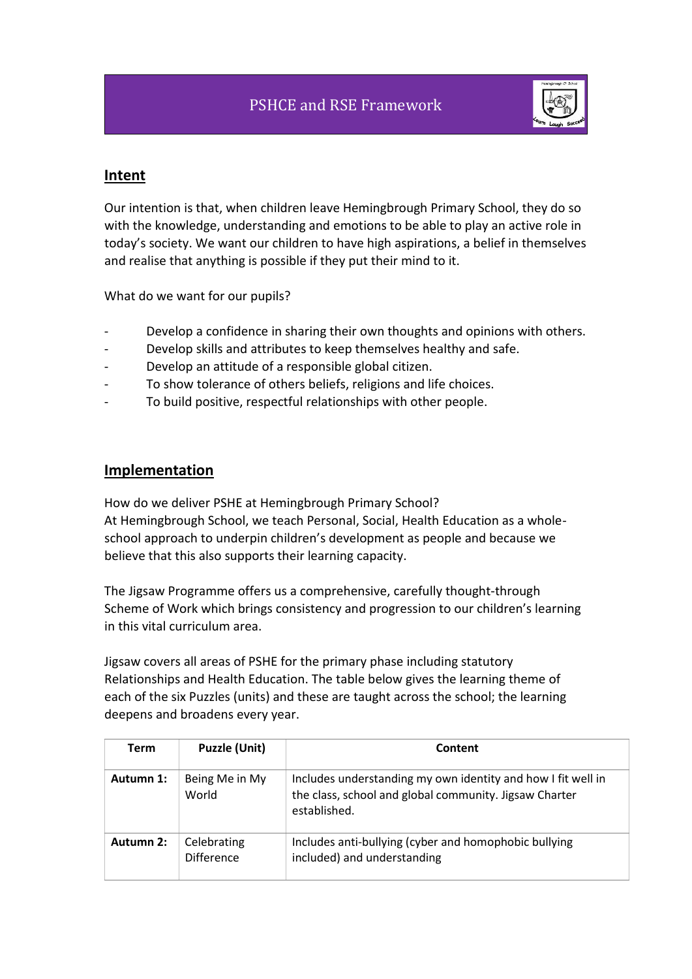

### **Intent**

Our intention is that, when children leave Hemingbrough Primary School, they do so with the knowledge, understanding and emotions to be able to play an active role in today's society. We want our children to have high aspirations, a belief in themselves and realise that anything is possible if they put their mind to it.

What do we want for our pupils?

- Develop a confidence in sharing their own thoughts and opinions with others.
- Develop skills and attributes to keep themselves healthy and safe.
- Develop an attitude of a responsible global citizen.
- To show tolerance of others beliefs, religions and life choices.
- To build positive, respectful relationships with other people.

### **Implementation**

How do we deliver PSHE at Hemingbrough Primary School? At Hemingbrough School, we teach Personal, Social, Health Education as a wholeschool approach to underpin children's development as people and because we believe that this also supports their learning capacity.

The Jigsaw Programme offers us a comprehensive, carefully thought-through Scheme of Work which brings consistency and progression to our children's learning in this vital curriculum area.

Jigsaw covers all areas of PSHE for the primary phase including statutory Relationships and Health Education. The table below gives the learning theme of each of the six Puzzles (units) and these are taught across the school; the learning deepens and broadens every year.

| <b>Term</b> | <b>Puzzle (Unit)</b>             | Content                                                                                                                                |
|-------------|----------------------------------|----------------------------------------------------------------------------------------------------------------------------------------|
| Autumn 1:   | Being Me in My<br>World          | Includes understanding my own identity and how I fit well in<br>the class, school and global community. Jigsaw Charter<br>established. |
| Autumn 2:   | Celebrating<br><b>Difference</b> | Includes anti-bullying (cyber and homophobic bullying<br>included) and understanding                                                   |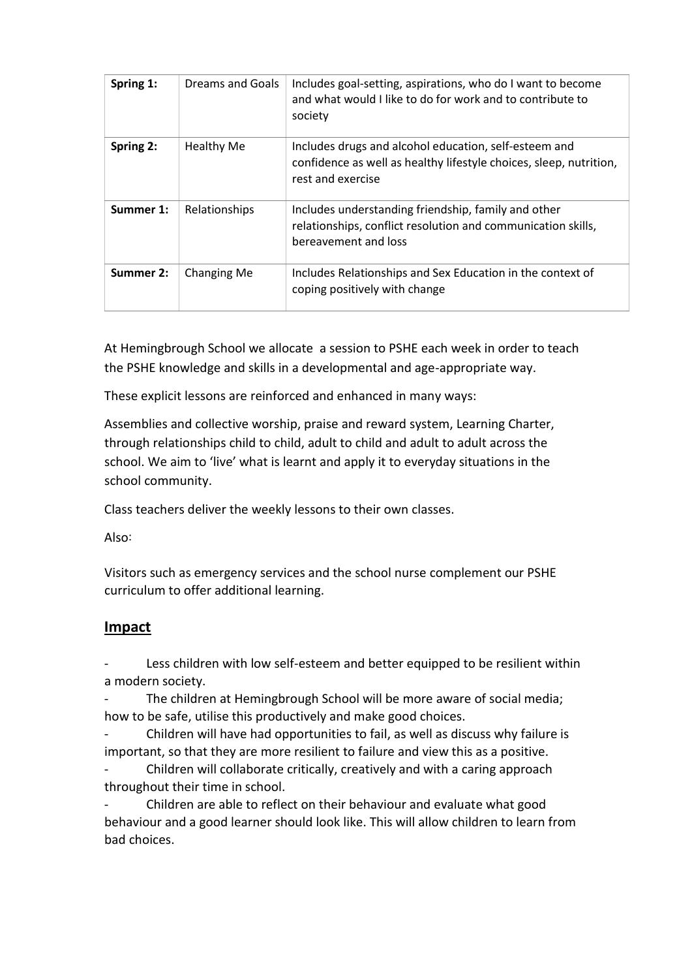| Spring 1: | Dreams and Goals  | Includes goal-setting, aspirations, who do I want to become<br>and what would I like to do for work and to contribute to<br>society              |
|-----------|-------------------|--------------------------------------------------------------------------------------------------------------------------------------------------|
| Spring 2: | <b>Healthy Me</b> | Includes drugs and alcohol education, self-esteem and<br>confidence as well as healthy lifestyle choices, sleep, nutrition,<br>rest and exercise |
| Summer 1: | Relationships     | Includes understanding friendship, family and other<br>relationships, conflict resolution and communication skills,<br>bereavement and loss      |
| Summer 2: | Changing Me       | Includes Relationships and Sex Education in the context of<br>coping positively with change                                                      |

At Hemingbrough School we allocate a session to PSHE each week in order to teach the PSHE knowledge and skills in a developmental and age-appropriate way.

These explicit lessons are reinforced and enhanced in many ways:

Assemblies and collective worship, praise and reward system, Learning Charter, through relationships child to child, adult to child and adult to adult across the school. We aim to 'live' what is learnt and apply it to everyday situations in the school community.

Class teachers deliver the weekly lessons to their own classes.

Also:

Visitors such as emergency services and the school nurse complement our PSHE curriculum to offer additional learning.

# **Impact**

Less children with low self-esteem and better equipped to be resilient within a modern society.

The children at Hemingbrough School will be more aware of social media; how to be safe, utilise this productively and make good choices.

- Children will have had opportunities to fail, as well as discuss why failure is important, so that they are more resilient to failure and view this as a positive.

- Children will collaborate critically, creatively and with a caring approach throughout their time in school.

- Children are able to reflect on their behaviour and evaluate what good behaviour and a good learner should look like. This will allow children to learn from bad choices.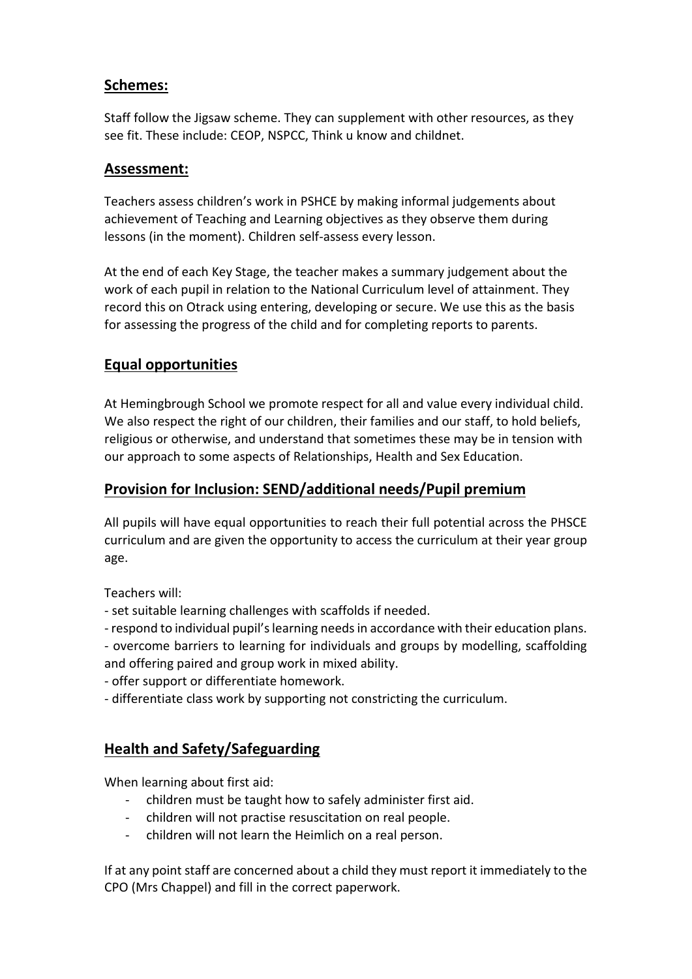## **Schemes:**

Staff follow the Jigsaw scheme. They can supplement with other resources, as they see fit. These include: CEOP, NSPCC, Think u know and childnet.

### **Assessment:**

Teachers assess children's work in PSHCE by making informal judgements about achievement of Teaching and Learning objectives as they observe them during lessons (in the moment). Children self-assess every lesson.

At the end of each Key Stage, the teacher makes a summary judgement about the work of each pupil in relation to the National Curriculum level of attainment. They record this on Otrack using entering, developing or secure. We use this as the basis for assessing the progress of the child and for completing reports to parents.

# **Equal opportunities**

At Hemingbrough School we promote respect for all and value every individual child. We also respect the right of our children, their families and our staff, to hold beliefs, religious or otherwise, and understand that sometimes these may be in tension with our approach to some aspects of Relationships, Health and Sex Education.

# **Provision for Inclusion: SEND/additional needs/Pupil premium**

All pupils will have equal opportunities to reach their full potential across the PHSCE curriculum and are given the opportunity to access the curriculum at their year group age.

Teachers will:

- set suitable learning challenges with scaffolds if needed.
- respond to individual pupil's learning needs in accordance with their education plans.
- overcome barriers to learning for individuals and groups by modelling, scaffolding and offering paired and group work in mixed ability.
- offer support or differentiate homework.
- differentiate class work by supporting not constricting the curriculum.

# **Health and Safety/Safeguarding**

When learning about first aid:

- children must be taught how to safely administer first aid.
- children will not practise resuscitation on real people.
- children will not learn the Heimlich on a real person.

If at any point staff are concerned about a child they must report it immediately to the CPO (Mrs Chappel) and fill in the correct paperwork.